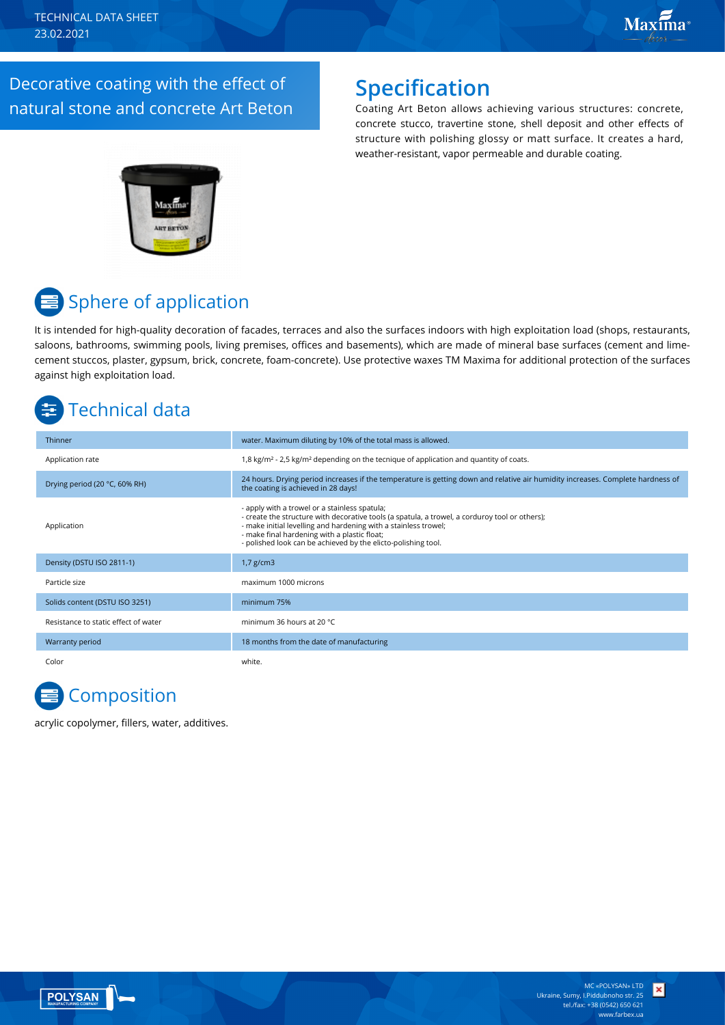Decorative coating with the effect of natural stone and concrete Art Beton

## **Specification**

Coating Art Beton allows achieving various structures: concrete, concrete stucco, travertine stone, shell deposit and other effects of structure with polishing glossy or matt surface. It creates a hard, weather-resistant, vapor permeable and durable coating.



# **■ Sphere of application**

It is intended for high-quality decoration of facades, terraces and also the surfaces indoors with high exploitation load (shops, restaurants, saloons, bathrooms, swimming pools, living premises, offices and basements), which are made of mineral base surfaces (cement and limecement stuccos, plaster, gypsum, brick, concrete, foam-concrete). Use protective waxes TM Maxima for additional protection of the surfaces against high exploitation load.

# Technical data

| Thinner                              | water. Maximum diluting by 10% of the total mass is allowed.                                                                                                                                                                                                                                                                        |
|--------------------------------------|-------------------------------------------------------------------------------------------------------------------------------------------------------------------------------------------------------------------------------------------------------------------------------------------------------------------------------------|
| Application rate                     | 1,8 kg/m <sup>2</sup> - 2,5 kg/m <sup>2</sup> depending on the tecnique of application and quantity of coats.                                                                                                                                                                                                                       |
| Drying period (20 °C, 60% RH)        | 24 hours. Drying period increases if the temperature is getting down and relative air humidity increases. Complete hardness of<br>the coating is achieved in 28 days!                                                                                                                                                               |
| Application                          | - apply with a trowel or a stainless spatula;<br>- create the structure with decorative tools (a spatula, a trowel, a corduroy tool or others);<br>- make initial levelling and hardening with a stainless trowel;<br>- make final hardening with a plastic float;<br>- polished look can be achieved by the elicto-polishing tool. |
| Density (DSTU ISO 2811-1)            | $1,7$ g/cm3                                                                                                                                                                                                                                                                                                                         |
| Particle size                        | maximum 1000 microns                                                                                                                                                                                                                                                                                                                |
| Solids content (DSTU ISO 3251)       | minimum 75%                                                                                                                                                                                                                                                                                                                         |
| Resistance to static effect of water | minimum 36 hours at 20 °C                                                                                                                                                                                                                                                                                                           |
| Warranty period                      | 18 months from the date of manufacturing                                                                                                                                                                                                                                                                                            |
| Color                                | white.                                                                                                                                                                                                                                                                                                                              |

**Composition** 

acrylic copolymer, fillers, water, additives.

×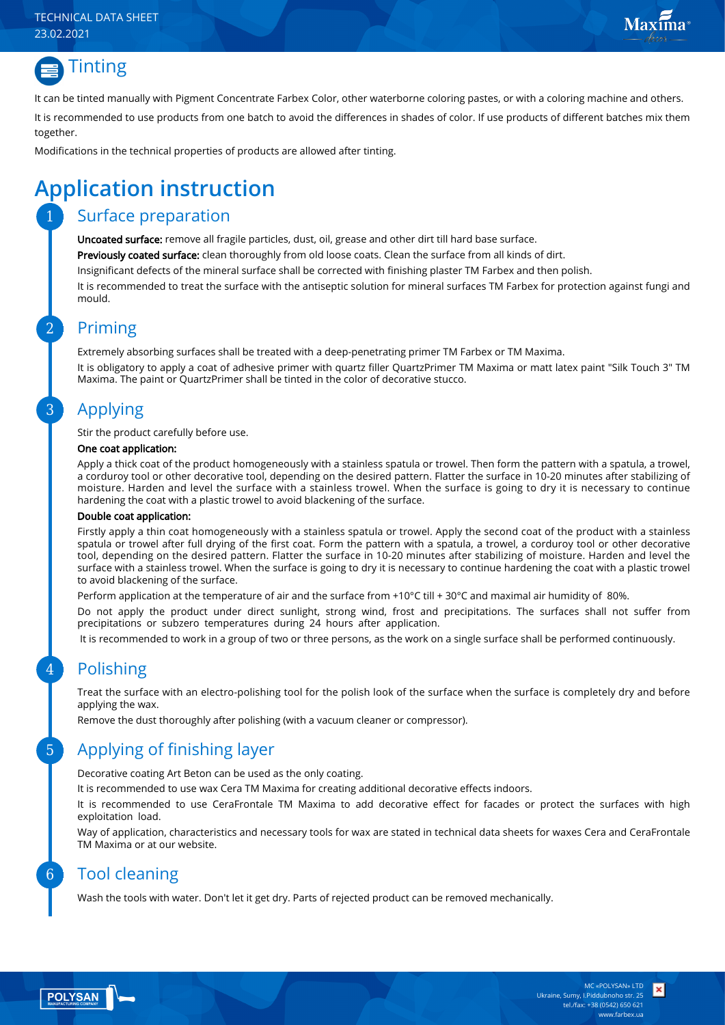#### TECHNICAL DATA SHEET 23.02.2021





It can be tinted manually with Pigment Concentrate Farbex Color, other waterborne coloring pastes, or with a coloring machine and others.

It is recommended to use products from one batch to avoid the differences in shades of color. If use products of different batches mix them together.

Modifications in the technical properties of products are allowed after tinting.

# **Application instruction**

### Surface preparation

Uncoated surface: remove all fragile particles, dust, oil, grease and other dirt till hard base surface.

Previously coated surface: clean thoroughly from old loose coats. Clean the surface from all kinds of dirt.

Insignificant defects of the mineral surface shall be corrected with finishing plaster TM Farbex and then polish.

It is recommended to treat the surface with the antiseptic solution for mineral surfaces TM Farbex for protection against fungi and mould.

### Priming

Extremely absorbing surfaces shall be treated with a deep-penetrating primer TM Farbex or TM Maxima.

It is obligatory to apply a coat of adhesive primer with quartz filler QuartzPrimer TM Maxima or matt latex paint "Silk Touch 3" TM Maxima. The paint or QuartzPrimer shall be tinted in the color of decorative stucco.

### Applying

Stir the product carefully before use.

#### One coat application:

Apply a thick coat of the product homogeneously with a stainless spatula or trowel. Then form the pattern with a spatula, a trowel, a corduroy tool or other decorative tool, depending on the desired pattern. Flatter the surface in 10-20 minutes after stabilizing of moisture. Harden and level the surface with a stainless trowel. When the surface is going to dry it is necessary to continue hardening the coat with a plastic trowel to avoid blackening of the surface.

#### Double coat application:

Firstly apply a thin coat homogeneously with a stainless spatula or trowel. Apply the second coat of the product with a stainless spatula or trowel after full drying of the first coat. Form the pattern with a spatula, a trowel, a corduroy tool or other decorative tool, depending on the desired pattern. Flatter the surface in 10-20 minutes after stabilizing of moisture. Harden and level the surface with a stainless trowel. When the surface is going to dry it is necessary to continue hardening the coat with a plastic trowel to avoid blackening of the surface.

Perform application at the temperature of air and the surface from +10°С till + 30°С and maximal air humidity of 80%.

Do not apply the product under direct sunlight, strong wind, frost and precipitations. The surfaces shall not suffer from precipitations or subzero temperatures during 24 hours after application.

It is recommended to work in a group of two or three persons, as the work on a single surface shall be performed continuously.

### Polishing

Treat the surface with an electro-polishing tool for the polish look of the surface when the surface is completely dry and before applying the wax.

Remove the dust thoroughly after polishing (with a vacuum cleaner or compressor).

### Applying of finishing layer

Decorative coating Art Beton can be used as the only coating.

It is recommended to use wax Cera TM Maxima for creating additional decorative effects indoors.

It is recommended to use CeraFrontale TM Maxima to add decorative effect for facades or protect the surfaces with high exploitation load.

Way of application, characteristics and necessary tools for wax are stated in technical data sheets for waxes Cera and CeraFrontale TM Maxima or at our website.

### Tool cleaning

Wash the tools with water. Don't let it get dry. Parts of rejected product can be removed mechanically.

6

5

4

3

2

1